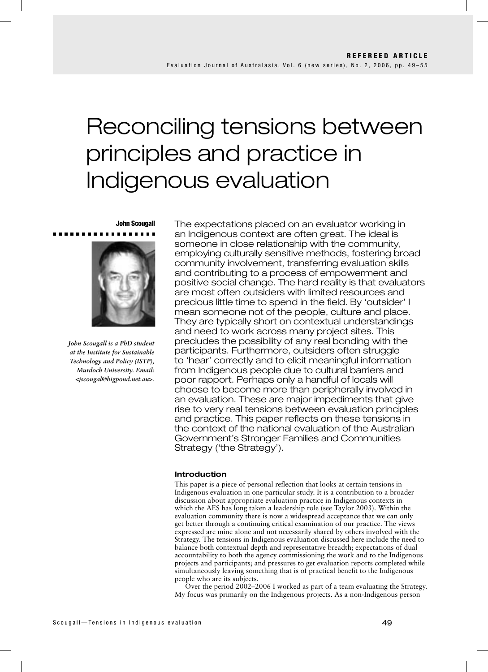# Reconciling tensions between principles and practice in Indigenous evaluation

**John Scougall**



*John Scougall is a PhD student at the Institute for Sustainable Technology and Policy (ISTP), Murdoch University. Email: <jscougal@bigpond.net.au>.*

The expectations placed on an evaluator working in an Indigenous context are often great. The ideal is someone in close relationship with the community, employing culturally sensitive methods, fostering broad community involvement, transferring evaluation skills and contributing to a process of empowerment and positive social change. The hard reality is that evaluators are most often outsiders with limited resources and precious little time to spend in the field. By 'outsider' I mean someone not of the people, culture and place. They are typically short on contextual understandings and need to work across many project sites. This precludes the possibility of any real bonding with the participants. Furthermore, outsiders often struggle to 'hear' correctly and to elicit meaningful information from Indigenous people due to cultural barriers and poor rapport. Perhaps only a handful of locals will choose to become more than peripherally involved in an evaluation. These are major impediments that give rise to very real tensions between evaluation principles and practice. This paper reflects on these tensions in the context of the national evaluation of the Australian Government's Stronger Families and Communities Strategy ('the Strategy').

### **Introduction**

This paper is a piece of personal reflection that looks at certain tensions in Indigenous evaluation in one particular study. It is a contribution to a broader discussion about appropriate evaluation practice in Indigenous contexts in which the AES has long taken a leadership role (see Taylor 2003). Within the evaluation community there is now a widespread acceptance that we can only get better through a continuing critical examination of our practice. The views expressed are mine alone and not necessarily shared by others involved with the Strategy. The tensions in Indigenous evaluation discussed here include the need to balance both contextual depth and representative breadth; expectations of dual accountability to both the agency commissioning the work and to the Indigenous projects and participants; and pressures to get evaluation reports completed while simultaneously leaving something that is of practical benefit to the Indigenous people who are its subjects.

Over the period 2002–2006 I worked as part of a team evaluating the Strategy. My focus was primarily on the Indigenous projects. As a non-Indigenous person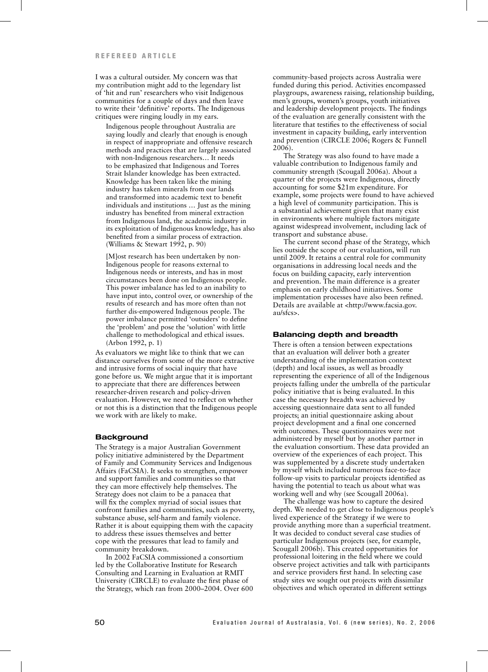I was a cultural outsider. My concern was that my contribution might add to the legendary list of 'hit and run' researchers who visit Indigenous communities for a couple of days and then leave to write their 'definitive' reports. The Indigenous critiques were ringing loudly in my ears.

Indigenous people throughout Australia are saying loudly and clearly that enough is enough in respect of inappropriate and offensive research methods and practices that are largely associated with non-Indigenous researchers… It needs to be emphasized that Indigenous and Torres Strait Islander knowledge has been extracted. Knowledge has been taken like the mining industry has taken minerals from our lands and transformed into academic text to benefit individuals and institutions … Just as the mining industry has benefited from mineral extraction from Indigenous land, the academic industry in its exploitation of Indigenous knowledge, has also benefited from a similar process of extraction. (Williams & Stewart 1992, p. 90)

[M]ost research has been undertaken by non-Indigenous people for reasons external to Indigenous needs or interests, and has in most circumstances been done on Indigenous people. This power imbalance has led to an inability to have input into, control over, or ownership of the results of research and has more often than not further dis-empowered Indigenous people. The power imbalance permitted 'outsiders' to define the 'problem' and pose the 'solution' with little challenge to methodological and ethical issues. (Arbon 1992, p. 1)

As evaluators we might like to think that we can distance ourselves from some of the more extractive and intrusive forms of social inquiry that have gone before us. We might argue that it is important to appreciate that there are differences between researcher-driven research and policy-driven evaluation. However, we need to reflect on whether or not this is a distinction that the Indigenous people we work with are likely to make.

### **Background**

The Strategy is a major Australian Government policy initiative administered by the Department of Family and Community Services and Indigenous Affairs (FaCSIA). It seeks to strengthen, empower and support families and communities so that they can more effectively help themselves. The Strategy does not claim to be a panacea that will fix the complex myriad of social issues that confront families and communities, such as poverty, substance abuse, self-harm and family violence. Rather it is about equipping them with the capacity to address these issues themselves and better cope with the pressures that lead to family and community breakdown.

In 2002 FaCSIA commissioned a consortium led by the Collaborative Institute for Research Consulting and Learning in Evaluation at RMIT University (CIRCLE) to evaluate the first phase of the Strategy, which ran from 2000–2004. Over 600 community-based projects across Australia were funded during this period. Activities encompassed playgroups, awareness raising, relationship building, men's groups, women's groups, youth initiatives and leadership development projects. The findings of the evaluation are generally consistent with the literature that testifies to the effectiveness of social investment in capacity building, early intervention and prevention (CIRCLE 2006; Rogers & Funnell 2006).

The Strategy was also found to have made a valuable contribution to Indigenous family and community strength (Scougall 2006a). About a quarter of the projects were Indigenous, directly accounting for some \$21m expenditure. For example, some projects were found to have achieved a high level of community participation. This is a substantial achievement given that many exist in environments where multiple factors mitigate against widespread involvement, including lack of transport and substance abuse.

The current second phase of the Strategy, which lies outside the scope of our evaluation, will run until 2009. It retains a central role for community organisations in addressing local needs and the focus on building capacity, early intervention and prevention. The main difference is a greater emphasis on early childhood initiatives. Some implementation processes have also been refined. Details are available at <http://www.facsia.gov. au/sfcs>.

# **Balancing depth and breadth**

There is often a tension between expectations that an evaluation will deliver both a greater understanding of the implementation context (depth) and local issues, as well as broadly representing the experience of all of the Indigenous projects falling under the umbrella of the particular policy initiative that is being evaluated. In this case the necessary breadth was achieved by accessing questionnaire data sent to all funded projects; an initial questionnaire asking about project development and a final one concerned with outcomes. These questionnaires were not administered by myself but by another partner in the evaluation consortium. These data provided an overview of the experiences of each project. This was supplemented by a discrete study undertaken by myself which included numerous face-to-face follow-up visits to particular projects identified as having the potential to teach us about what was working well and why (see Scougall 2006a).

The challenge was how to capture the desired depth. We needed to get close to Indigenous people's lived experience of the Strategy if we were to provide anything more than a superficial treatment. It was decided to conduct several case studies of particular Indigenous projects (see, for example, Scougall 2006b). This created opportunities for professional loitering in the field where we could observe project activities and talk with participants and service providers first hand. In selecting case study sites we sought out projects with dissimilar objectives and which operated in different settings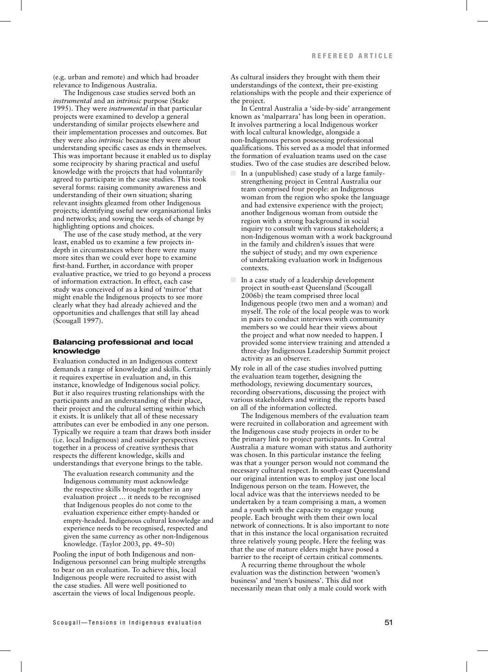(e.g. urban and remote) and which had broader relevance to Indigenous Australia.

The Indigenous case studies served both an *instrumental* and an *intrinsic* purpose (Stake 1995). They were *instrumental* in that particular projects were examined to develop a general understanding of similar projects elsewhere and their implementation processes and outcomes. But they were also *intrinsic* because they were about understanding specific cases as ends in themselves. This was important because it enabled us to display some reciprocity by sharing practical and useful knowledge with the projects that had voluntarily agreed to participate in the case studies. This took several forms: raising community awareness and understanding of their own situation; sharing relevant insights gleamed from other Indigenous projects; identifying useful new organisational links and networks; and sowing the seeds of change by highlighting options and choices.

The use of the case study method, at the very least, enabled us to examine a few projects indepth in circumstances where there were many more sites than we could ever hope to examine first-hand. Further, in accordance with proper evaluative practice, we tried to go beyond a process of information extraction. In effect, each case study was conceived of as a kind of 'mirror' that might enable the Indigenous projects to see more clearly what they had already achieved and the opportunities and challenges that still lay ahead (Scougall 1997).

# **Balancing professional and local knowledge**

Evaluation conducted in an Indigenous context demands a range of knowledge and skills. Certainly it requires expertise in evaluation and, in this instance, knowledge of Indigenous social policy. But it also requires trusting relationships with the participants and an understanding of their place, their project and the cultural setting within which it exists. It is unlikely that all of these necessary attributes can ever be embodied in any one person. Typically we require a team that draws both insider (i.e. local Indigenous) and outsider perspectives together in a process of creative synthesis that respects the different knowledge, skills and understandings that everyone brings to the table.

The evaluation research community and the Indigenous community must acknowledge the respective skills brought together in any evaluation project … it needs to be recognised that Indigenous peoples do not come to the evaluation experience either empty-handed or empty-headed. Indigenous cultural knowledge and experience needs to be recognised, respected and given the same currency as other non-Indigenous knowledge. (Taylor 2003, pp. 49–50)

Pooling the input of both Indigenous and non-Indigenous personnel can bring multiple strengths to bear on an evaluation. To achieve this, local Indigenous people were recruited to assist with the case studies. All were well positioned to ascertain the views of local Indigenous people.

As cultural insiders they brought with them their understandings of the context, their pre-existing relationships with the people and their experience of the project.

In Central Australia a 'side-by-side' arrangement known as 'malparrara' has long been in operation. It involves partnering a local Indigenous worker with local cultural knowledge, alongside a non-Indigenous person possessing professional qualifications. This served as a model that informed the formation of evaluation teams used on the case studies. Two of the case studies are described below.

- In a (unpublished) case study of a large familystrengthening project in Central Australia our team comprised four people: an Indigenous woman from the region who spoke the language and had extensive experience with the project; another Indigenous woman from outside the region with a strong background in social inquiry to consult with various stakeholders; a non-Indigenous woman with a work background in the family and children's issues that were the subject of study; and my own experience of undertaking evaluation work in Indigenous contexts.
- In a case study of a leadership development project in south-east Queensland (Scougall 2006b) the team comprised three local Indigenous people (two men and a woman) and myself. The role of the local people was to work in pairs to conduct interviews with community members so we could hear their views about the project and what now needed to happen. I provided some interview training and attended a three-day Indigenous Leadership Summit project activity as an observer.

My role in all of the case studies involved putting the evaluation team together, designing the methodology, reviewing documentary sources, recording observations, discussing the project with various stakeholders and writing the reports based on all of the information collected.

The Indigenous members of the evaluation team were recruited in collaboration and agreement with the Indigenous case study projects in order to be the primary link to project participants. In Central Australia a mature woman with status and authority was chosen. In this particular instance the feeling was that a younger person would not command the necessary cultural respect. In south-east Queensland our original intention was to employ just one local Indigenous person on the team. However, the local advice was that the interviews needed to be undertaken by a team comprising a man, a women and a youth with the capacity to engage young people. Each brought with them their own local network of connections. It is also important to note that in this instance the local organisation recruited three relatively young people. Here the feeling was that the use of mature elders might have posed a barrier to the receipt of certain critical comments.

A recurring theme throughout the whole evaluation was the distinction between 'women's business' and 'men's business'. This did not necessarily mean that only a male could work with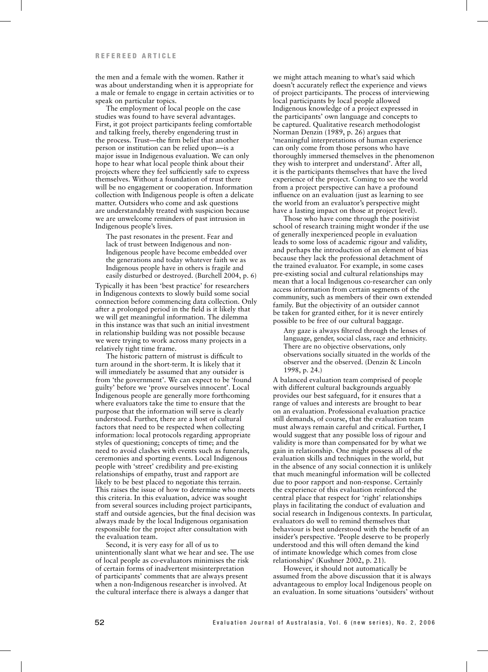the men and a female with the women. Rather it was about understanding when it is appropriate for a male or female to engage in certain activities or to speak on particular topics.

The employment of local people on the case studies was found to have several advantages. First, it got project participants feeling comfortable and talking freely, thereby engendering trust in the process. Trust—the firm belief that another person or institution can be relied upon—is a major issue in Indigenous evaluation. We can only hope to hear what local people think about their projects where they feel sufficiently safe to express themselves. Without a foundation of trust there will be no engagement or cooperation. Information collection with Indigenous people is often a delicate matter. Outsiders who come and ask questions are understandably treated with suspicion because we are unwelcome reminders of past intrusion in Indigenous people's lives.

The past resonates in the present. Fear and lack of trust between Indigenous and non-Indigenous people have become embedded over the generations and today whatever faith we as Indigenous people have in others is fragile and easily disturbed or destroyed. (Burchell 2004, p. 6)

Typically it has been 'best practice' for researchers in Indigenous contexts to slowly build some social connection before commencing data collection. Only after a prolonged period in the field is it likely that we will get meaningful information. The dilemma in this instance was that such an initial investment in relationship building was not possible because we were trying to work across many projects in a relatively tight time frame.

The historic pattern of mistrust is difficult to turn around in the short-term. It is likely that it will immediately be assumed that any outsider is from 'the government'. We can expect to be 'found guilty' before we 'prove ourselves innocent'. Local Indigenous people are generally more forthcoming where evaluators take the time to ensure that the purpose that the information will serve is clearly understood. Further, there are a host of cultural factors that need to be respected when collecting information: local protocols regarding appropriate styles of questioning; concepts of time; and the need to avoid clashes with events such as funerals, ceremonies and sporting events. Local Indigenous people with 'street' credibility and pre-existing relationships of empathy, trust and rapport are likely to be best placed to negotiate this terrain. This raises the issue of how to determine who meets this criteria. In this evaluation, advice was sought from several sources including project participants, staff and outside agencies, but the final decision was always made by the local Indigenous organisation responsible for the project after consultation with the evaluation team.

Second, it is very easy for all of us to unintentionally slant what we hear and see. The use of local people as co-evaluators minimises the risk of certain forms of inadvertent misinterpretation of participants' comments that are always present when a non-Indigenous researcher is involved. At the cultural interface there is always a danger that

we might attach meaning to what's said which doesn't accurately reflect the experience and views of project participants. The process of interviewing local participants by local people allowed Indigenous knowledge of a project expressed in the participants' own language and concepts to be captured. Qualitative research methodologist Norman Denzin (1989, p. 26) argues that 'meaningful interpretations of human experience can only come from those persons who have thoroughly immersed themselves in the phenomenon they wish to interpret and understand'. After all, it is the participants themselves that have the lived experience of the project. Coming to see the world from a project perspective can have a profound influence on an evaluation (just as learning to see the world from an evaluator's perspective might have a lasting impact on those at project level).

Those who have come through the positivist school of research training might wonder if the use of generally inexperienced people in evaluation leads to some loss of academic rigour and validity, and perhaps the introduction of an element of bias because they lack the professional detachment of the trained evaluator. For example, in some cases pre-existing social and cultural relationships may mean that a local Indigenous co-researcher can only access information from certain segments of the community, such as members of their own extended family. But the objectivity of an outsider cannot be taken for granted either, for it is never entirely possible to be free of our cultural baggage.

Any gaze is always filtered through the lenses of language, gender, social class, race and ethnicity. There are no objective observations, only observations socially situated in the worlds of the observer and the observed. (Denzin & Lincoln 1998, p. 24.)

A balanced evaluation team comprised of people with different cultural backgrounds arguably provides our best safeguard, for it ensures that a range of values and interests are brought to bear on an evaluation. Professional evaluation practice still demands, of course, that the evaluation team must always remain careful and critical. Further, I would suggest that any possible loss of rigour and validity is more than compensated for by what we gain in relationship. One might possess all of the evaluation skills and techniques in the world, but in the absence of any social connection it is unlikely that much meaningful information will be collected due to poor rapport and non-response. Certainly the experience of this evaluation reinforced the central place that respect for 'right' relationships plays in facilitating the conduct of evaluation and social research in Indigenous contexts. In particular, evaluators do well to remind themselves that behaviour is best understood with the benefit of an insider's perspective. 'People deserve to be properly understood and this will often demand the kind of intimate knowledge which comes from close relationships' (Kushner 2002, p. 21).

However, it should not automatically be assumed from the above discussion that it is always advantageous to employ local Indigenous people on an evaluation. In some situations 'outsiders' without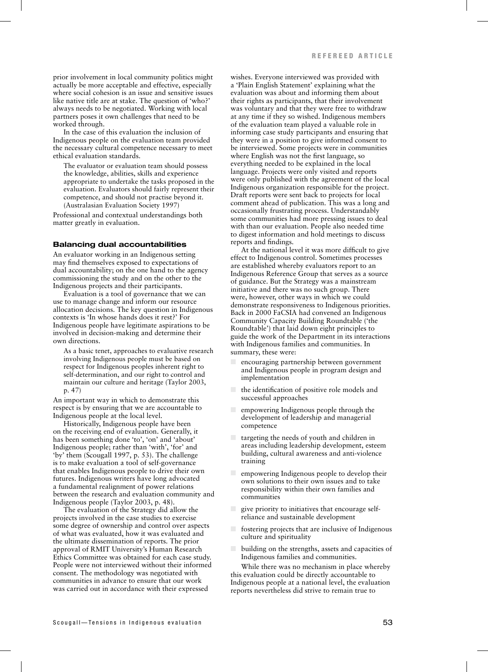prior involvement in local community politics might actually be more acceptable and effective, especially where social cohesion is an issue and sensitive issues like native title are at stake. The question of 'who?' always needs to be negotiated. Working with local partners poses it own challenges that need to be worked through.

In the case of this evaluation the inclusion of Indigenous people on the evaluation team provided the necessary cultural competence necessary to meet ethical evaluation standards.

The evaluator or evaluation team should possess the knowledge, abilities, skills and experience appropriate to undertake the tasks proposed in the evaluation. Evaluators should fairly represent their competence, and should not practise beyond it. (Australasian Evaluation Society 1997)

Professional and contextual understandings both matter greatly in evaluation.

#### **Balancing dual accountabilities**

An evaluator working in an Indigenous setting may find themselves exposed to expectations of dual accountability; on the one hand to the agency commissioning the study and on the other to the Indigenous projects and their participants.

Evaluation is a tool of governance that we can use to manage change and inform our resource allocation decisions. The key question in Indigenous contexts is 'In whose hands does it rest?' For Indigenous people have legitimate aspirations to be involved in decision-making and determine their own directions.

As a basic tenet, approaches to evaluative research involving Indigenous people must be based on respect for Indigenous peoples inherent right to self-determination, and our right to control and maintain our culture and heritage (Taylor 2003, p. 47)

An important way in which to demonstrate this respect is by ensuring that we are accountable to Indigenous people at the local level.

Historically, Indigenous people have been on the receiving end of evaluation. Generally, it has been something done 'to', 'on' and 'about' Indigenous people; rather than 'with', 'for' and 'by' them (Scougall 1997, p. 53). The challenge is to make evaluation a tool of self-governance that enables Indigenous people to drive their own futures. Indigenous writers have long advocated a fundamental realignment of power relations between the research and evaluation community and Indigenous people (Taylor 2003, p. 48).

The evaluation of the Strategy did allow the projects involved in the case studies to exercise some degree of ownership and control over aspects of what was evaluated, how it was evaluated and the ultimate dissemination of reports. The prior approval of RMIT University's Human Research Ethics Committee was obtained for each case study. People were not interviewed without their informed consent. The methodology was negotiated with communities in advance to ensure that our work was carried out in accordance with their expressed

wishes. Everyone interviewed was provided with a 'Plain English Statement' explaining what the evaluation was about and informing them about their rights as participants, that their involvement was voluntary and that they were free to withdraw at any time if they so wished. Indigenous members of the evaluation team played a valuable role in informing case study participants and ensuring that they were in a position to give informed consent to be interviewed. Some projects were in communities where English was not the first language, so everything needed to be explained in the local language. Projects were only visited and reports were only published with the agreement of the local Indigenous organization responsible for the project. Draft reports were sent back to projects for local comment ahead of publication. This was a long and occasionally frustrating process. Understandably some communities had more pressing issues to deal with than our evaluation. People also needed time to digest information and hold meetings to discuss reports and findings.

At the national level it was more difficult to give effect to Indigenous control. Sometimes processes are established whereby evaluators report to an Indigenous Reference Group that serves as a source of guidance. But the Strategy was a mainstream initiative and there was no such group. There were, however, other ways in which we could demonstrate responsiveness to Indigenous priorities. Back in 2000 FaCSIA had convened an Indigenous Community Capacity Building Roundtable ('the Roundtable') that laid down eight principles to guide the work of the Department in its interactions with Indigenous families and communities. In summary, these were:

- encouraging partnership between government and Indigenous people in program design and implementation
- the identification of positive role models and successful approaches
- empowering Indigenous people through the development of leadership and managerial competence
- targeting the needs of youth and children in areas including leadership development, esteem building, cultural awareness and anti-violence training
- empowering Indigenous people to develop their own solutions to their own issues and to take responsibility within their own families and communities
- give priority to initiatives that encourage selfreliance and sustainable development
- fostering projects that are inclusive of Indigenous culture and spirituality
- building on the strengths, assets and capacities of Indigenous families and communities.

While there was no mechanism in place whereby this evaluation could be directly accountable to Indigenous people at a national level, the evaluation reports nevertheless did strive to remain true to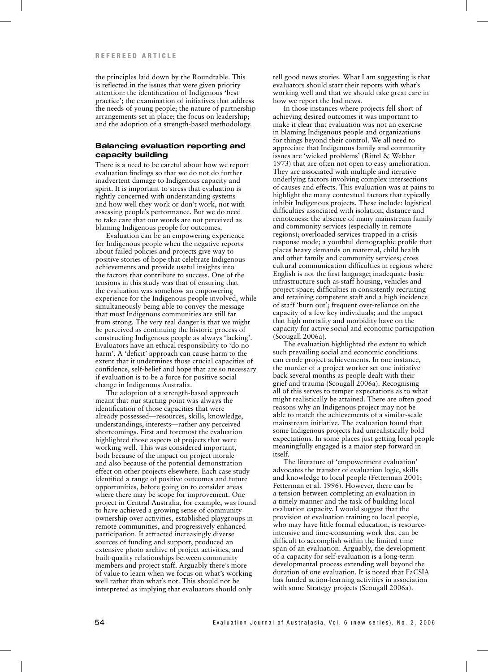the principles laid down by the Roundtable. This is reflected in the issues that were given priority attention: the identification of Indigenous 'best practice'; the examination of initiatives that address the needs of young people; the nature of partnership arrangements set in place; the focus on leadership; and the adoption of a strength-based methodology.

# **Balancing evaluation reporting and capacity building**

There is a need to be careful about how we report evaluation findings so that we do not do further inadvertent damage to Indigenous capacity and spirit. It is important to stress that evaluation is rightly concerned with understanding systems and how well they work or don't work, not with assessing people's performance. But we do need to take care that our words are not perceived as blaming Indigenous people for outcomes.

Evaluation can be an empowering experience for Indigenous people when the negative reports about failed policies and projects give way to positive stories of hope that celebrate Indigenous achievements and provide useful insights into the factors that contribute to success. One of the tensions in this study was that of ensuring that the evaluation was somehow an empowering experience for the Indigenous people involved, while simultaneously being able to convey the message that most Indigenous communities are still far from strong. The very real danger is that we might be perceived as continuing the historic process of constructing Indigenous people as always 'lacking'. Evaluators have an ethical responsibility to 'do no harm'. A 'deficit' approach can cause harm to the extent that it undermines those crucial capacities of confidence, self-belief and hope that are so necessary if evaluation is to be a force for positive social change in Indigenous Australia.

The adoption of a strength-based approach meant that our starting point was always the identification of those capacities that were already possessed—resources, skills, knowledge, understandings, interests—rather any perceived shortcomings. First and foremost the evaluation highlighted those aspects of projects that were working well. This was considered important, both because of the impact on project morale and also because of the potential demonstration effect on other projects elsewhere. Each case study identified a range of positive outcomes and future opportunities, before going on to consider areas where there may be scope for improvement. One project in Central Australia, for example, was found to have achieved a growing sense of community ownership over activities, established playgroups in remote communities, and progressively enhanced participation. It attracted increasingly diverse sources of funding and support, produced an extensive photo archive of project activities, and built quality relationships between community members and project staff. Arguably there's more of value to learn when we focus on what's working well rather than what's not. This should not be interpreted as implying that evaluators should only

tell good news stories. What I am suggesting is that evaluators should start their reports with what's working well and that we should take great care in how we report the bad news.

In those instances where projects fell short of achieving desired outcomes it was important to make it clear that evaluation was not an exercise in blaming Indigenous people and organizations for things beyond their control. We all need to appreciate that Indigenous family and community issues are 'wicked problems' (Rittel & Webber 1973) that are often not open to easy amelioration. They are associated with multiple and iterative underlying factors involving complex intersections of causes and effects. This evaluation was at pains to highlight the many contextual factors that typically inhibit Indigenous projects. These include: logistical difficulties associated with isolation, distance and remoteness; the absence of many mainstream family and community services (especially in remote regions); overloaded services trapped in a crisis response mode; a youthful demographic profile that places heavy demands on maternal, child health and other family and community services; cross cultural communication difficulties in regions where English is not the first language; inadequate basic infrastructure such as staff housing, vehicles and project space; difficulties in consistently recruiting and retaining competent staff and a high incidence of staff 'burn out'; frequent over-reliance on the capacity of a few key individuals; and the impact that high mortality and morbidity have on the capacity for active social and economic participation (Scougall 2006a).

The evaluation highlighted the extent to which such prevailing social and economic conditions can erode project achievements. In one instance, the murder of a project worker set one initiative back several months as people dealt with their grief and trauma (Scougall 2006a). Recognising all of this serves to temper expectations as to what might realistically be attained. There are often good reasons why an Indigenous project may not be able to match the achievements of a similar-scale mainstream initiative. The evaluation found that some Indigenous projects had unrealistically bold expectations. In some places just getting local people meaningfully engaged is a major step forward in itself.

The literature of 'empowerment evaluation' advocates the transfer of evaluation logic, skills and knowledge to local people (Fetterman 2001; Fetterman et al. 1996). However, there can be a tension between completing an evaluation in a timely manner and the task of building local evaluation capacity. I would suggest that the provision of evaluation training to local people, who may have little formal education, is resourceintensive and time-consuming work that can be difficult to accomplish within the limited time span of an evaluation. Arguably, the development of a capacity for self-evaluation is a long-term developmental process extending well beyond the duration of one evaluation. It is noted that FaCSIA has funded action-learning activities in association with some Strategy projects (Scougall 2006a).